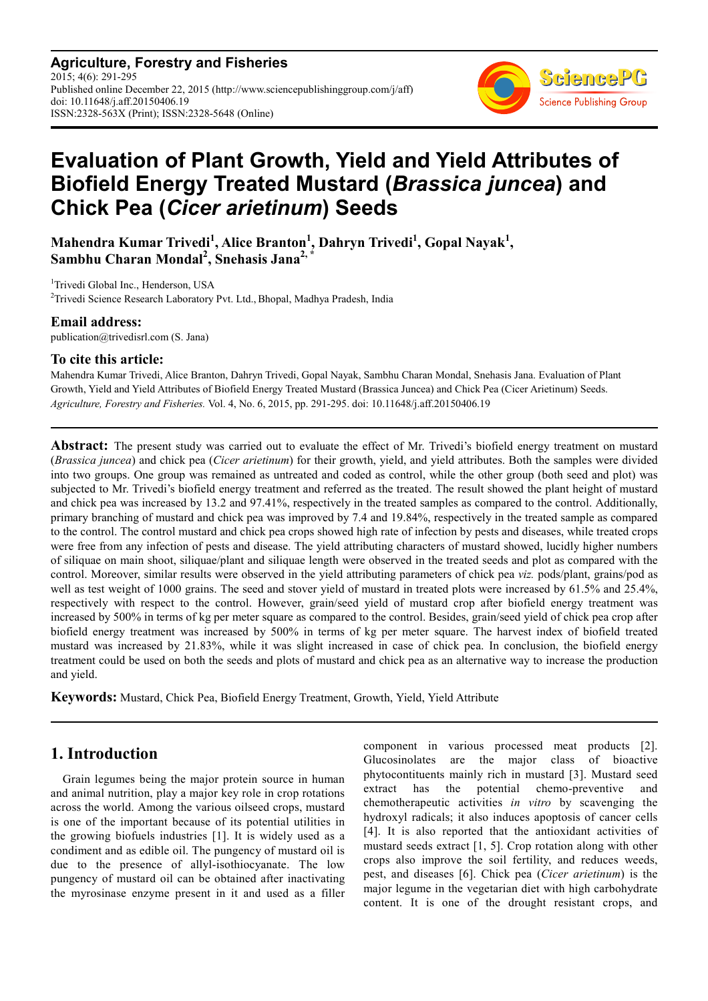**Agriculture, Forestry and Fisheries** 2015; 4(6): 291-295 Published online December 22, 2015 (http://www.sciencepublishinggroup.com/j/aff) doi: 10.11648/j.aff.20150406.19 ISSN:2328-563X (Print); ISSN:2328-5648 (Online)



# **Evaluation of Plant Growth, Yield and Yield Attributes of Biofield Energy Treated Mustard (***Brassica juncea***) and Chick Pea (***Cicer arietinum***) Seeds**

**Mahendra Kumar Trivedi<sup>1</sup> , Alice Branton<sup>1</sup> , Dahryn Trivedi<sup>1</sup> , Gopal Nayak<sup>1</sup> , Sambhu Charan Mondal<sup>2</sup> , Snehasis Jana2, \***

<sup>1</sup>Trivedi Global Inc., Henderson, USA

 $2$ Trivedi Science Research Laboratory Pvt. Ltd., Bhopal, Madhya Pradesh, India

#### **Email address:**

publication@trivedisrl.com (S. Jana)

### **To cite this article:**

Mahendra Kumar Trivedi, Alice Branton, Dahryn Trivedi, Gopal Nayak, Sambhu Charan Mondal, Snehasis Jana. Evaluation of Plant Growth, Yield and Yield Attributes of Biofield Energy Treated Mustard (Brassica Juncea) and Chick Pea (Cicer Arietinum) Seeds. *Agriculture, Forestry and Fisheries.* Vol. 4, No. 6, 2015, pp. 291-295. doi: 10.11648/j.aff.20150406.19

**Abstract:** The present study was carried out to evaluate the effect of Mr. Trivedi's biofield energy treatment on mustard (*Brassica juncea*) and chick pea (*Cicer arietinum*) for their growth, yield, and yield attributes. Both the samples were divided into two groups. One group was remained as untreated and coded as control, while the other group (both seed and plot) was subjected to Mr. Trivedi's biofield energy treatment and referred as the treated. The result showed the plant height of mustard and chick pea was increased by 13.2 and 97.41%, respectively in the treated samples as compared to the control. Additionally, primary branching of mustard and chick pea was improved by 7.4 and 19.84%, respectively in the treated sample as compared to the control. The control mustard and chick pea crops showed high rate of infection by pests and diseases, while treated crops were free from any infection of pests and disease. The yield attributing characters of mustard showed, lucidly higher numbers of siliquae on main shoot, siliquae/plant and siliquae length were observed in the treated seeds and plot as compared with the control. Moreover, similar results were observed in the yield attributing parameters of chick pea *viz.* pods/plant, grains/pod as well as test weight of 1000 grains. The seed and stover yield of mustard in treated plots were increased by 61.5% and 25.4%, respectively with respect to the control. However, grain/seed yield of mustard crop after biofield energy treatment was increased by 500% in terms of kg per meter square as compared to the control. Besides, grain/seed yield of chick pea crop after biofield energy treatment was increased by 500% in terms of kg per meter square. The harvest index of biofield treated mustard was increased by 21.83%, while it was slight increased in case of chick pea. In conclusion, the biofield energy treatment could be used on both the seeds and plots of mustard and chick pea as an alternative way to increase the production and yield.

**Keywords:** Mustard, Chick Pea, Biofield Energy Treatment, Growth, Yield, Yield Attribute

### **1. Introduction**

Grain legumes being the major protein source in human and animal nutrition, play a major key role in crop rotations across the world. Among the various oilseed crops, mustard is one of the important because of its potential utilities in the growing biofuels industries [1]. It is widely used as a condiment and as edible oil. The pungency of mustard oil is due to the presence of allyl-isothiocyanate. The low pungency of mustard oil can be obtained after inactivating the myrosinase enzyme present in it and used as a filler component in various processed meat products [2]. Glucosinolates are the major class of bioactive phytocontituents mainly rich in mustard [3]. Mustard seed extract has the potential chemo-preventive and chemotherapeutic activities *in vitro* by scavenging the hydroxyl radicals; it also induces apoptosis of cancer cells [4]. It is also reported that the antioxidant activities of mustard seeds extract [1, 5]. Crop rotation along with other crops also improve the soil fertility, and reduces weeds, pest, and diseases [6]. Chick pea (*Cicer arietinum*) is the major legume in the vegetarian diet with high carbohydrate content. It is one of the drought resistant crops, and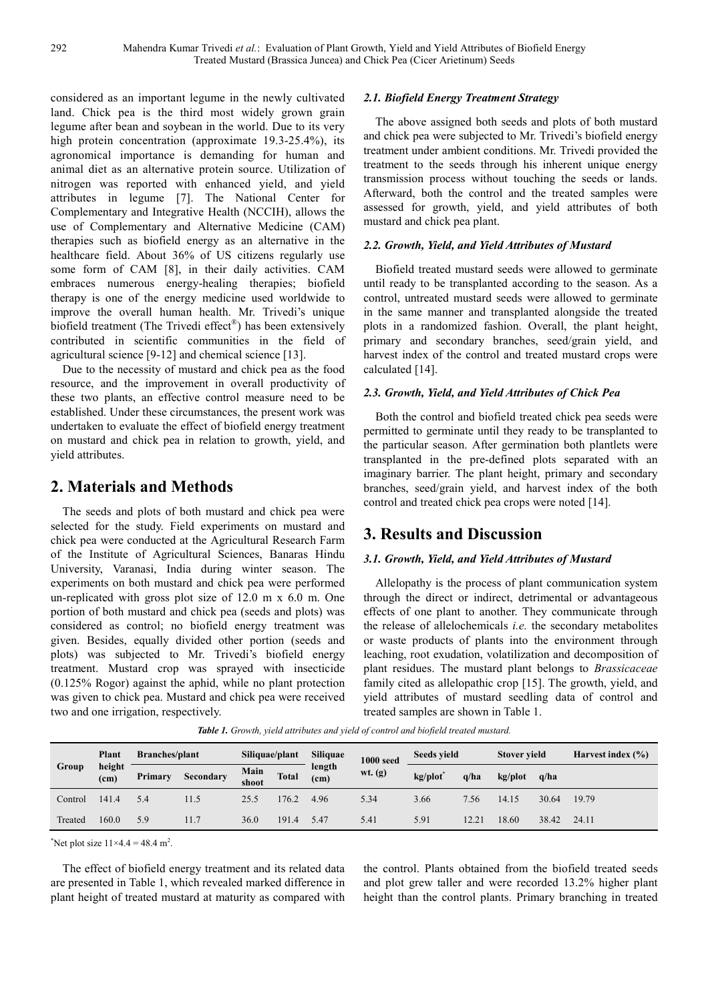considered as an important legume in the newly cultivated land. Chick pea is the third most widely grown grain legume after bean and soybean in the world. Due to its very high protein concentration (approximate 19.3-25.4%), its agronomical importance is demanding for human and animal diet as an alternative protein source. Utilization of nitrogen was reported with enhanced yield, and yield attributes in legume [7]. The National Center for Complementary and Integrative Health (NCCIH), allows the use of Complementary and Alternative Medicine (CAM) therapies such as biofield energy as an alternative in the healthcare field. About 36% of US citizens regularly use some form of CAM [8], in their daily activities. CAM embraces numerous energy-healing therapies; biofield therapy is one of the energy medicine used worldwide to improve the overall human health. Mr. Trivedi's unique biofield treatment (The Trivedi effect®) has been extensively contributed in scientific communities in the field of agricultural science [9-12] and chemical science [13].

Due to the necessity of mustard and chick pea as the food resource, and the improvement in overall productivity of these two plants, an effective control measure need to be established. Under these circumstances, the present work was undertaken to evaluate the effect of biofield energy treatment on mustard and chick pea in relation to growth, yield, and yield attributes.

# **2. Materials and Methods**

The seeds and plots of both mustard and chick pea were selected for the study. Field experiments on mustard and chick pea were conducted at the Agricultural Research Farm of the Institute of Agricultural Sciences, Banaras Hindu University, Varanasi, India during winter season. The experiments on both mustard and chick pea were performed un-replicated with gross plot size of 12.0 m x 6.0 m. One portion of both mustard and chick pea (seeds and plots) was considered as control; no biofield energy treatment was given. Besides, equally divided other portion (seeds and plots) was subjected to Mr. Trivedi's biofield energy treatment. Mustard crop was sprayed with insecticide (0.125% Rogor) against the aphid, while no plant protection was given to chick pea. Mustard and chick pea were received two and one irrigation, respectively.

#### *2.1. Biofield Energy Treatment Strategy*

The above assigned both seeds and plots of both mustard and chick pea were subjected to Mr. Trivedi's biofield energy treatment under ambient conditions. Mr. Trivedi provided the treatment to the seeds through his inherent unique energy transmission process without touching the seeds or lands. Afterward, both the control and the treated samples were assessed for growth, yield, and yield attributes of both mustard and chick pea plant.

### *2.2. Growth, Yield, and Yield Attributes of Mustard*

Biofield treated mustard seeds were allowed to germinate until ready to be transplanted according to the season. As a control, untreated mustard seeds were allowed to germinate in the same manner and transplanted alongside the treated plots in a randomized fashion. Overall, the plant height, primary and secondary branches, seed/grain yield, and harvest index of the control and treated mustard crops were calculated [14].

### *2.3. Growth, Yield, and Yield Attributes of Chick Pea*

Both the control and biofield treated chick pea seeds were permitted to germinate until they ready to be transplanted to the particular season. After germination both plantlets were transplanted in the pre-defined plots separated with an imaginary barrier. The plant height, primary and secondary branches, seed/grain yield, and harvest index of the both control and treated chick pea crops were noted [14].

## **3. Results and Discussion**

### *3.1. Growth, Yield, and Yield Attributes of Mustard*

Allelopathy is the process of plant communication system through the direct or indirect, detrimental or advantageous effects of one plant to another. They communicate through the release of allelochemicals *i.e.* the secondary metabolites or waste products of plants into the environment through leaching, root exudation, volatilization and decomposition of plant residues. The mustard plant belongs to *Brassicaceae* family cited as allelopathic crop [15]. The growth, yield, and yield attributes of mustard seedling data of control and treated samples are shown in Table 1.

| Group   | Plant<br>height<br>(c <sub>m</sub> ) | <b>Branches/plant</b> |           | Siliquae/plant |              | <b>Siliquae</b>             | <b>1000 seed</b> | Seeds yield |       | <b>Stover yield</b> |       | Harvest index $(\% )$ |
|---------|--------------------------------------|-----------------------|-----------|----------------|--------------|-----------------------------|------------------|-------------|-------|---------------------|-------|-----------------------|
|         |                                      | Primary               | Secondary | Main<br>shoot  | <b>Total</b> | length<br>(c <sub>m</sub> ) | $wt.$ (g)        | kg/plot     | q/ha  | $kgp$ lot           | q/ha  |                       |
| Control | 141.4                                | 5.4                   | 11.5      | 25.5           | 176.2        | 4.96                        | 5.34             | 3.66        | 7.56  | 14.15               | 30.64 | 19.79                 |
| Treated | 160.0                                | 5.9                   | 11.7      | 36.0           | 1914         | 5.47                        | 5.41             | 5.91        | 12.21 | 18.60               | 38.42 | 24.11                 |

*Table 1. Growth, yield attributes and yield of control and biofield treated mustard.* 

\*Net plot size  $11 \times 4.4 = 48.4$  m<sup>2</sup>.

The effect of biofield energy treatment and its related data are presented in Table 1, which revealed marked difference in plant height of treated mustard at maturity as compared with

the control. Plants obtained from the biofield treated seeds and plot grew taller and were recorded 13.2% higher plant height than the control plants. Primary branching in treated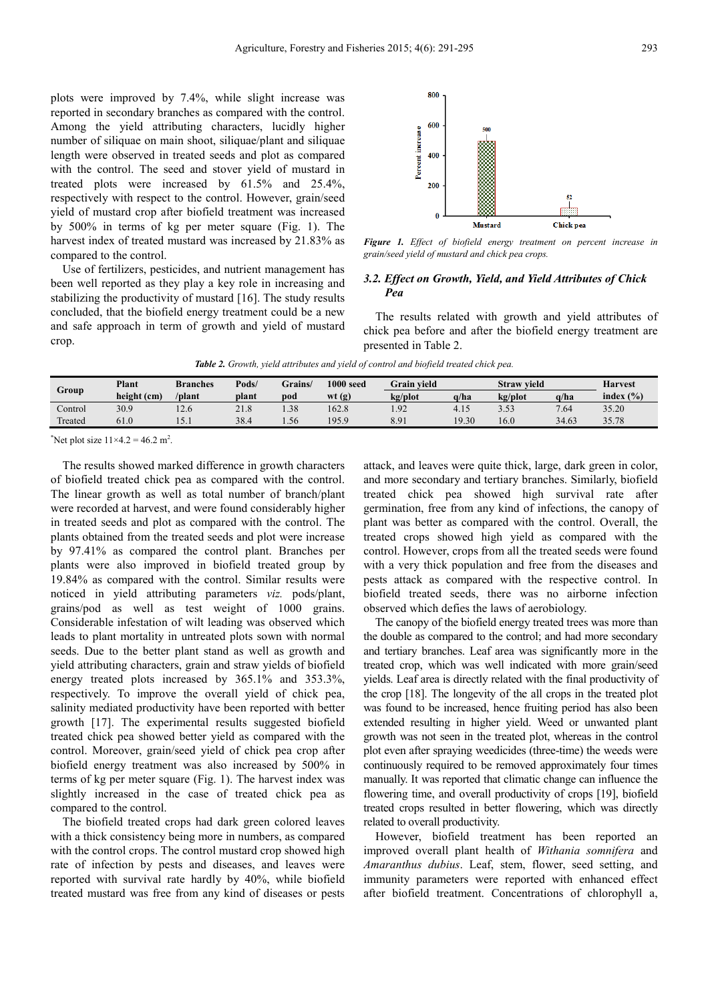plots were improved by 7.4%, while slight increase was reported in secondary branches as compared with the control. Among the yield attributing characters, lucidly higher number of siliquae on main shoot, siliquae/plant and siliquae length were observed in treated seeds and plot as compared with the control. The seed and stover yield of mustard in treated plots were increased by 61.5% and 25.4%, respectively with respect to the control. However, grain/seed yield of mustard crop after biofield treatment was increased by 500% in terms of kg per meter square (Fig. 1). The harvest index of treated mustard was increased by 21.83% as compared to the control.

Use of fertilizers, pesticides, and nutrient management has been well reported as they play a key role in increasing and stabilizing the productivity of mustard [16]. The study results concluded, that the biofield energy treatment could be a new and safe approach in term of growth and yield of mustard crop.



*Figure 1. Effect of biofield energy treatment on percent increase in grain/seed yield of mustard and chick pea crops.* 

#### *3.2. Effect on Growth, Yield, and Yield Attributes of Chick Pea*

The results related with growth and yield attributes of chick pea before and after the biofield energy treatment are presented in Table 2.

*Table 2. Growth, yield attributes and yield of control and biofield treated chick pea.* 

| <b>Branches</b> | Pods/ | $1000$ seed<br>Grains/ |       | <b>Grain vield</b> |       | <b>Straw vield</b> |       | <b>Harvest</b> |
|-----------------|-------|------------------------|-------|--------------------|-------|--------------------|-------|----------------|
| /plant          | plant | pod                    | wt(g) | kg/plot            | a/ha  | kg/plot            | a/ha  | index $(\% )$  |
| 12.6            | 21.8  | 1.38                   | 162.8 | 1.92               | 4.15  | 3.53               | 7.64  | 35.20          |
| 12.1            | 38.4  | 1.56                   | 195.9 | 8.91               | 19.30 | 16.0               | 34.63 | 35.78          |
|                 |       |                        |       |                    |       |                    |       |                |

\*Net plot size  $11 \times 4.2 = 46.2$  m<sup>2</sup>.

The results showed marked difference in growth characters of biofield treated chick pea as compared with the control. The linear growth as well as total number of branch/plant were recorded at harvest, and were found considerably higher in treated seeds and plot as compared with the control. The plants obtained from the treated seeds and plot were increase by 97.41% as compared the control plant. Branches per plants were also improved in biofield treated group by 19.84% as compared with the control. Similar results were noticed in yield attributing parameters *viz.* pods/plant, grains/pod as well as test weight of 1000 grains. Considerable infestation of wilt leading was observed which leads to plant mortality in untreated plots sown with normal seeds. Due to the better plant stand as well as growth and yield attributing characters, grain and straw yields of biofield energy treated plots increased by 365.1% and 353.3%, respectively. To improve the overall yield of chick pea, salinity mediated productivity have been reported with better growth [17]. The experimental results suggested biofield treated chick pea showed better yield as compared with the control. Moreover, grain/seed yield of chick pea crop after biofield energy treatment was also increased by 500% in terms of kg per meter square (Fig. 1). The harvest index was slightly increased in the case of treated chick pea as compared to the control.

The biofield treated crops had dark green colored leaves with a thick consistency being more in numbers, as compared with the control crops. The control mustard crop showed high rate of infection by pests and diseases, and leaves were reported with survival rate hardly by 40%, while biofield treated mustard was free from any kind of diseases or pests attack, and leaves were quite thick, large, dark green in color, and more secondary and tertiary branches. Similarly, biofield treated chick pea showed high survival rate after germination, free from any kind of infections, the canopy of plant was better as compared with the control. Overall, the treated crops showed high yield as compared with the control. However, crops from all the treated seeds were found with a very thick population and free from the diseases and pests attack as compared with the respective control. In biofield treated seeds, there was no airborne infection observed which defies the laws of aerobiology.

The canopy of the biofield energy treated trees was more than the double as compared to the control; and had more secondary and tertiary branches. Leaf area was significantly more in the treated crop, which was well indicated with more grain/seed yields. Leaf area is directly related with the final productivity of the crop [18]. The longevity of the all crops in the treated plot was found to be increased, hence fruiting period has also been extended resulting in higher yield. Weed or unwanted plant growth was not seen in the treated plot, whereas in the control plot even after spraying weedicides (three-time) the weeds were continuously required to be removed approximately four times manually. It was reported that climatic change can influence the flowering time, and overall productivity of crops [19], biofield treated crops resulted in better flowering, which was directly related to overall productivity.

However, biofield treatment has been reported an improved overall plant health of *Withania somnifera* and *Amaranthus dubius*. Leaf, stem, flower, seed setting, and immunity parameters were reported with enhanced effect after biofield treatment. Concentrations of chlorophyll a,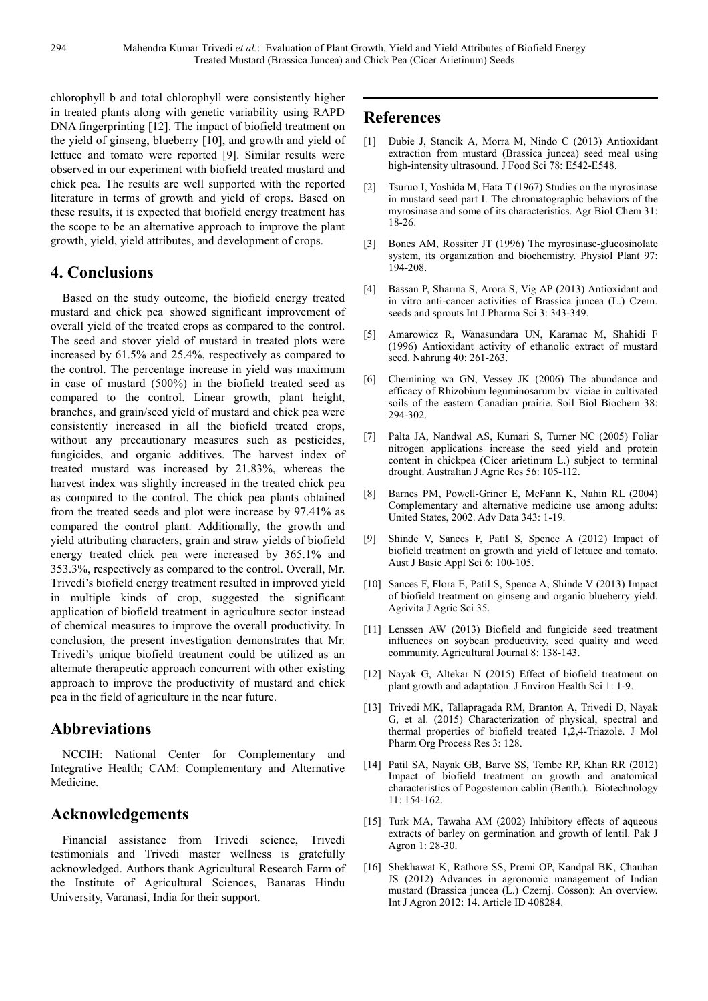chlorophyll b and total chlorophyll were consistently higher in treated plants along with genetic variability using RAPD DNA fingerprinting [12]. The impact of biofield treatment on the yield of ginseng, blueberry [10], and growth and yield of lettuce and tomato were reported [9]. Similar results were observed in our experiment with biofield treated mustard and chick pea. The results are well supported with the reported literature in terms of growth and yield of crops. Based on these results, it is expected that biofield energy treatment has the scope to be an alternative approach to improve the plant growth, yield, yield attributes, and development of crops.

### **4. Conclusions**

Based on the study outcome, the biofield energy treated mustard and chick pea showed significant improvement of overall yield of the treated crops as compared to the control. The seed and stover yield of mustard in treated plots were increased by 61.5% and 25.4%, respectively as compared to the control. The percentage increase in yield was maximum in case of mustard (500%) in the biofield treated seed as compared to the control. Linear growth, plant height, branches, and grain/seed yield of mustard and chick pea were consistently increased in all the biofield treated crops, without any precautionary measures such as pesticides, fungicides, and organic additives. The harvest index of treated mustard was increased by 21.83%, whereas the harvest index was slightly increased in the treated chick pea as compared to the control. The chick pea plants obtained from the treated seeds and plot were increase by 97.41% as compared the control plant. Additionally, the growth and yield attributing characters, grain and straw yields of biofield energy treated chick pea were increased by 365.1% and 353.3%, respectively as compared to the control. Overall, Mr. Trivedi's biofield energy treatment resulted in improved yield in multiple kinds of crop, suggested the significant application of biofield treatment in agriculture sector instead of chemical measures to improve the overall productivity. In conclusion, the present investigation demonstrates that Mr. Trivedi's unique biofield treatment could be utilized as an alternate therapeutic approach concurrent with other existing approach to improve the productivity of mustard and chick pea in the field of agriculture in the near future.

## **Abbreviations**

NCCIH: National Center for Complementary and Integrative Health; CAM: Complementary and Alternative Medicine.

### **Acknowledgements**

Financial assistance from Trivedi science, Trivedi testimonials and Trivedi master wellness is gratefully acknowledged. Authors thank Agricultural Research Farm of the Institute of Agricultural Sciences, Banaras Hindu University, Varanasi, India for their support.

### **References**

- [1] Dubie J, Stancik A, Morra M, Nindo C (2013) Antioxidant extraction from mustard (Brassica juncea) seed meal using high-intensity ultrasound. J Food Sci 78: E542-E548.
- [2] Tsuruo I, Yoshida M, Hata T (1967) Studies on the myrosinase in mustard seed part I. The chromatographic behaviors of the myrosinase and some of its characteristics. Agr Biol Chem 31: 18-26.
- [3] Bones AM, Rossiter JT (1996) The myrosinase-glucosinolate system, its organization and biochemistry. Physiol Plant 97: 194-208.
- [4] Bassan P, Sharma S, Arora S, Vig AP (2013) Antioxidant and in vitro anti-cancer activities of Brassica juncea (L.) Czern. seeds and sprouts Int J Pharma Sci 3: 343-349.
- [5] Amarowicz R, Wanasundara UN, Karamac M, Shahidi F (1996) Antioxidant activity of ethanolic extract of mustard seed. Nahrung 40: 261-263.
- [6] Chemining wa GN, Vessey JK (2006) The abundance and efficacy of Rhizobium leguminosarum bv. viciae in cultivated soils of the eastern Canadian prairie. Soil Biol Biochem 38: 294-302.
- [7] Palta JA, Nandwal AS, Kumari S, Turner NC (2005) Foliar nitrogen applications increase the seed yield and protein content in chickpea (Cicer arietinum L.) subject to terminal drought. Australian J Agric Res 56: 105-112.
- [8] Barnes PM, Powell-Griner E, McFann K, Nahin RL (2004) Complementary and alternative medicine use among adults: United States, 2002. Adv Data 343: 1-19.
- [9] Shinde V, Sances F, Patil S, Spence A (2012) Impact of biofield treatment on growth and yield of lettuce and tomato. Aust J Basic Appl Sci 6: 100-105.
- [10] Sances F, Flora E, Patil S, Spence A, Shinde V (2013) Impact of biofield treatment on ginseng and organic blueberry yield. Agrivita J Agric Sci 35.
- [11] Lenssen AW (2013) Biofield and fungicide seed treatment influences on soybean productivity, seed quality and weed community. Agricultural Journal 8: 138-143.
- [12] Nayak G, Altekar N (2015) Effect of biofield treatment on plant growth and adaptation. J Environ Health Sci 1: 1-9.
- [13] Trivedi MK, Tallapragada RM, Branton A, Trivedi D, Nayak G, et al. (2015) Characterization of physical, spectral and thermal properties of biofield treated 1,2,4-Triazole. J Mol Pharm Org Process Res 3: 128.
- [14] Patil SA, Nayak GB, Barve SS, Tembe RP, Khan RR (2012) Impact of biofield treatment on growth and anatomical characteristics of Pogostemon cablin (Benth.). Biotechnology 11: 154-162.
- [15] Turk MA, Tawaha AM (2002) Inhibitory effects of aqueous extracts of barley on germination and growth of lentil. Pak J Agron 1: 28-30.
- [16] Shekhawat K, Rathore SS, Premi OP, Kandpal BK, Chauhan JS (2012) Advances in agronomic management of Indian mustard (Brassica juncea (L.) Czernj. Cosson): An overview. Int J Agron 2012: 14. Article ID 408284.